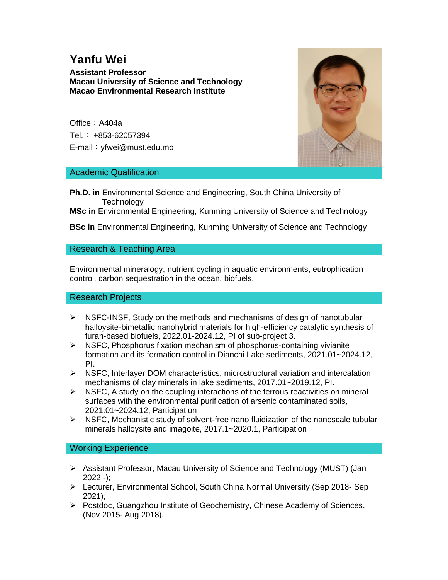# **Yanfu Wei**

**Assistant Professor Macau University of Science and Technology Macao Environmental Research Institute**

Office: A404a Tel.: +853-62057394 E-mail:yfwei@must.edu.mo



### Academic Qualification

**Ph.D. in Environmental Science and Engineering, South China University of Technology** 

**MSc in** Environmental Engineering, Kunming University of Science and Technology

**BSc in** Environmental Engineering, Kunming University of Science and Technology

## Research & Teaching Area

Environmental mineralogy, nutrient cycling in aquatic environments, eutrophication control, carbon sequestration in the ocean, biofuels.

#### Research Projects

- $\triangleright$  NSFC-INSF, Study on the methods and mechanisms of design of nanotubular halloysite-bimetallic nanohybrid materials for high-efficiency catalytic synthesis of furan-based biofuels, 2022.01-2024.12, PI of sub-project 3.
- $\triangleright$  NSFC, Phosphorus fixation mechanism of phosphorus-containing vivianite formation and its formation control in Dianchi Lake sediments, 2021.01~2024.12, PI.
- $\triangleright$  NSFC, Interlayer DOM characteristics, microstructural variation and intercalation mechanisms of clay minerals in lake sediments, 2017.01~2019.12, PI.
- $\triangleright$  NSFC, A study on the coupling interactions of the ferrous reactivities on mineral surfaces with the environmental purification of arsenic contaminated soils, 2021.01~2024.12, Participation
- $\triangleright$  NSFC, Mechanistic study of solvent-free nano fluidization of the nanoscale tubular minerals halloysite and imagoite, 2017.1~2020.1, Participation

#### Working Experience

- ➢ Assistant Professor, Macau University of Science and Technology (MUST) (Jan  $2022 -$ :
- ➢ Lecturer, Environmental School, South China Normal University (Sep 2018- Sep 2021);
- ➢ Postdoc, Guangzhou Institute of Geochemistry, Chinese Academy of Sciences. (Nov 2015- Aug 2018).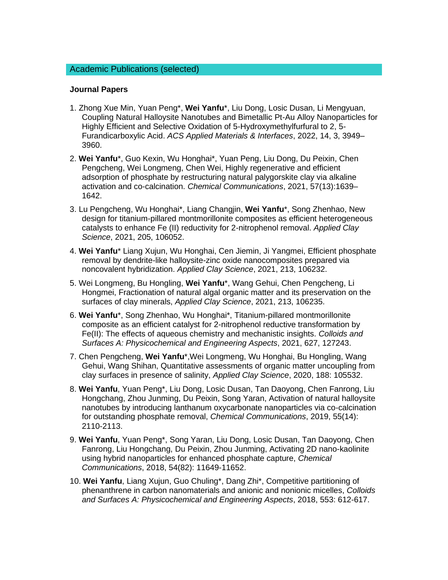#### **Journal Papers**

- 1. Zhong Xue Min, Yuan Peng\*, **Wei Yanfu**\*, Liu Dong, Losic Dusan, Li Mengyuan, Coupling Natural Halloysite Nanotubes and Bimetallic Pt-Au Alloy Nanoparticles for Highly Efficient and Selective Oxidation of 5-Hydroxymethylfurfural to 2, 5- Furandicarboxylic Acid. *ACS Applied Materials & Interfaces*, 2022, 14, 3, 3949– 3960.
- 2. **Wei Yanfu**\*, Guo Kexin, Wu Honghai\*, Yuan Peng, Liu Dong, Du Peixin, Chen Pengcheng, Wei Longmeng, Chen Wei, Highly regenerative and efficient adsorption of phosphate by restructuring natural palygorskite clay via alkaline activation and co-calcination. *Chemical Communications*, 2021, 57(13):1639– 1642.
- 3. Lu Pengcheng, Wu Honghai\*, Liang Changjin, **Wei Yanfu**\*, Song Zhenhao, New design for titanium-pillared montmorillonite composites as efficient heterogeneous catalysts to enhance Fe (II) reductivity for 2-nitrophenol removal. *Applied Clay Science*, 2021, 205, 106052.
- 4. **Wei Yanfu**\* Liang Xujun, Wu Honghai, Cen Jiemin, Ji Yangmei, Efficient phosphate removal by dendrite-like halloysite-zinc oxide nanocomposites prepared via noncovalent hybridization. *Applied Clay Science*, 2021, 213, 106232.
- 5. Wei Longmeng, Bu Hongling, **Wei Yanfu**\*, Wang Gehui, Chen Pengcheng, Li Hongmei, Fractionation of natural algal organic matter and its preservation on the surfaces of clay minerals, *Applied Clay Science*, 2021, 213, 106235.
- 6. **Wei Yanfu**\*, Song Zhenhao, Wu Honghai\*, Titanium-pillared montmorillonite composite as an efficient catalyst for 2-nitrophenol reductive transformation by Fe(II): The effects of aqueous chemistry and mechanistic insights. *Colloids and Surfaces A: Physicochemical and Engineering Aspects*, 2021, 627, 127243.
- 7. Chen Pengcheng, **Wei Yanfu**\*,Wei Longmeng, Wu Honghai, Bu Hongling, Wang Gehui, Wang Shihan, Quantitative assessments of organic matter uncoupling from clay surfaces in presence of salinity, *Applied Clay Science*, 2020, 188: 105532.
- 8. **Wei Yanfu**, Yuan Peng\*, Liu Dong, Losic Dusan, Tan Daoyong, Chen Fanrong, Liu Hongchang, Zhou Junming, Du Peixin, Song Yaran, Activation of natural halloysite nanotubes by introducing lanthanum oxycarbonate nanoparticles via co-calcination for outstanding phosphate removal, *Chemical Communications*, 2019, 55(14): 2110-2113.
- 9. **Wei Yanfu**, Yuan Peng\*, Song Yaran, Liu Dong, Losic Dusan, Tan Daoyong, Chen Fanrong, Liu Hongchang, Du Peixin, Zhou Junming, Activating 2D nano-kaolinite using hybrid nanoparticles for enhanced phosphate capture, *Chemical Communications*, 2018, 54(82): 11649-11652.
- 10. **Wei Yanfu**, Liang Xujun, Guo Chuling\*, Dang Zhi\*, Competitive partitioning of phenanthrene in carbon nanomaterials and anionic and nonionic micelles, *Colloids and Surfaces A: Physicochemical and Engineering Aspects*, 2018, 553: 612-617.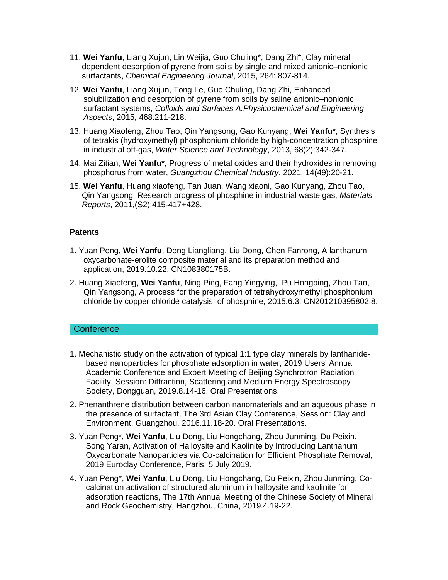- 11. **Wei Yanfu**, Liang Xujun, Lin Weijia, Guo Chuling\*, Dang Zhi\*, Clay mineral dependent desorption of pyrene from soils by single and mixed anionic–nonionic surfactants, *Chemical Engineering Journal*, 2015, 264: 807-814.
- 12. **Wei Yanfu**, Liang Xujun, Tong Le, Guo Chuling, Dang Zhi, Enhanced solubilization and desorption of pyrene from soils by saline anionic–nonionic surfactant systems, *Colloids and Surfaces A:Physicochemical and Engineering Aspects*, 2015, 468:211-218.
- 13. Huang Xiaofeng, Zhou Tao, Qin Yangsong, Gao Kunyang, **Wei Yanfu**\*, Synthesis of tetrakis (hydroxymethyl) phosphonium chloride by high-concentration phosphine in industrial off-gas, *Water Science and Technology*, 2013, 68(2):342-347.
- 14. Mai Zitian, **Wei Yanfu**\*, Progress of metal oxides and their hydroxides in removing phosphorus from water, *Guangzhou Chemical Industry*, 2021, 14(49):20-21.
- 15. **Wei Yanfu**, Huang xiaofeng, Tan Juan, Wang xiaoni, Gao Kunyang, Zhou Tao, Qin Yangsong, Research progress of phosphine in industrial waste gas, *Materials Reports*, 2011,(S2):415-417+428.

#### **Patents**

- 1. Yuan Peng, **Wei Yanfu**, Deng Liangliang, Liu Dong, Chen Fanrong, A lanthanum oxycarbonate-erolite composite material and its preparation method and application, 2019.10.22, CN108380175B.
- 2. Huang Xiaofeng, **Wei Yanfu**, Ning Ping, Fang Yingying, Pu Hongping, Zhou Tao, Qin Yangsong, A process for the preparation of tetrahydroxymethyl phosphonium chloride by copper chloride catalysis of phosphine, 2015.6.3, CN201210395802.8.

#### **Conference**

- 1. Mechanistic study on the activation of typical 1:1 type clay minerals by lanthanidebased nanoparticles for phosphate adsorption in water, 2019 Users' Annual Academic Conference and Expert Meeting of Beijing Synchrotron Radiation Facility, Session: Diffraction, Scattering and Medium Energy Spectroscopy Society, Dongguan, 2019.8.14-16. Oral Presentations.
- 2. Phenanthrene distribution between carbon nanomaterials and an aqueous phase in the presence of surfactant, The 3rd Asian Clay Conference, Session: Clay and Environment, Guangzhou, 2016.11.18-20. Oral Presentations.
- 3. Yuan Peng\*, **Wei Yanfu**, Liu Dong, Liu Hongchang, Zhou Junming, Du Peixin, Song Yaran, Activation of Halloysite and Kaolinite by Introducing Lanthanum Oxycarbonate Nanoparticles via Co-calcination for Efficient Phosphate Removal, 2019 Euroclay Conference, Paris, 5 July 2019.
- 4. Yuan Peng\*, **Wei Yanfu**, Liu Dong, Liu Hongchang, Du Peixin, Zhou Junming, Cocalcination activation of structured aluminum in halloysite and kaolinite for adsorption reactions, The 17th Annual Meeting of the Chinese Society of Mineral and Rock Geochemistry, Hangzhou, China, 2019.4.19-22.